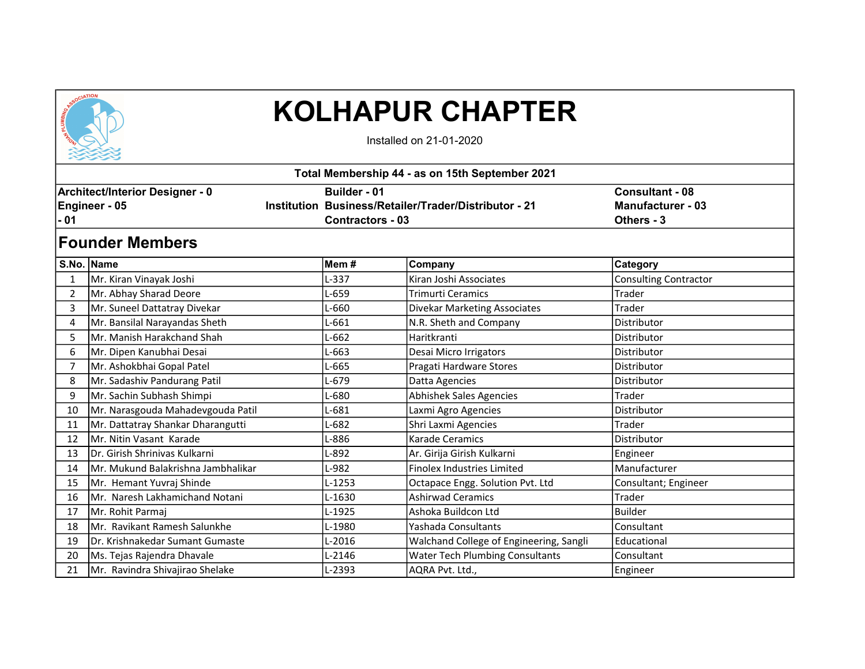

## KOLHAPUR CHAPTER

Installed on 21-01-2020

| 22223                                                           |                                    |                                                |                                                       |                                                                  |  |  |  |  |  |  |
|-----------------------------------------------------------------|------------------------------------|------------------------------------------------|-------------------------------------------------------|------------------------------------------------------------------|--|--|--|--|--|--|
| Total Membership 44 - as on 15th September 2021                 |                                    |                                                |                                                       |                                                                  |  |  |  |  |  |  |
| <b>Architect/Interior Designer - 0</b><br>Engineer - 05<br>- 01 |                                    | <b>Builder - 01</b><br><b>Contractors - 03</b> | Institution Business/Retailer/Trader/Distributor - 21 | <b>Consultant - 08</b><br><b>Manufacturer - 03</b><br>Others - 3 |  |  |  |  |  |  |
| <b>Founder Members</b>                                          |                                    |                                                |                                                       |                                                                  |  |  |  |  |  |  |
|                                                                 | S.No. Name                         | Mem #                                          | Company                                               | Category                                                         |  |  |  |  |  |  |
|                                                                 | Mr. Kiran Vinayak Joshi            | L-337                                          | Kiran Joshi Associates                                | <b>Consulting Contractor</b>                                     |  |  |  |  |  |  |
| $\overline{2}$                                                  | Mr. Abhay Sharad Deore             | L-659                                          | <b>Trimurti Ceramics</b>                              | Trader                                                           |  |  |  |  |  |  |
| 3                                                               | Mr. Suneel Dattatray Divekar       | L-660                                          | <b>Divekar Marketing Associates</b>                   | Trader                                                           |  |  |  |  |  |  |
| 4                                                               | Mr. Bansilal Narayandas Sheth      | L-661                                          | N.R. Sheth and Company                                | Distributor                                                      |  |  |  |  |  |  |
| 5                                                               | Mr. Manish Harakchand Shah         | L-662                                          | Haritkranti                                           | Distributor                                                      |  |  |  |  |  |  |
| 6                                                               | Mr. Dipen Kanubhai Desai           | L-663                                          | Desai Micro Irrigators                                | Distributor                                                      |  |  |  |  |  |  |
| 7                                                               | Mr. Ashokbhai Gopal Patel          | L-665                                          | Pragati Hardware Stores                               | Distributor                                                      |  |  |  |  |  |  |
| 8                                                               | Mr. Sadashiv Pandurang Patil       | L-679                                          | Datta Agencies                                        | Distributor                                                      |  |  |  |  |  |  |
| 9                                                               | Mr. Sachin Subhash Shimpi          | L-680                                          | Abhishek Sales Agencies                               | Trader                                                           |  |  |  |  |  |  |
| 10                                                              | Mr. Narasgouda Mahadevgouda Patil  | L-681                                          | Laxmi Agro Agencies                                   | Distributor                                                      |  |  |  |  |  |  |
| 11                                                              | Mr. Dattatray Shankar Dharangutti  | L-682                                          | Shri Laxmi Agencies                                   | Trader                                                           |  |  |  |  |  |  |
| 12                                                              | Mr. Nitin Vasant Karade            | L-886                                          | <b>Karade Ceramics</b>                                | Distributor                                                      |  |  |  |  |  |  |
| 13                                                              | Dr. Girish Shrinivas Kulkarni      | L-892                                          | Ar. Girija Girish Kulkarni                            | Engineer                                                         |  |  |  |  |  |  |
| 14                                                              | Mr. Mukund Balakrishna Jambhalikar | L-982                                          | Finolex Industries Limited                            | Manufacturer                                                     |  |  |  |  |  |  |
| 15                                                              | Mr. Hemant Yuvraj Shinde           | L-1253                                         | Octapace Engg. Solution Pvt. Ltd                      | Consultant; Engineer                                             |  |  |  |  |  |  |
| 16                                                              | Mr. Naresh Lakhamichand Notani     | L-1630                                         | <b>Ashirwad Ceramics</b>                              | Trader                                                           |  |  |  |  |  |  |
| 17                                                              | Mr. Rohit Parmaj                   | L-1925                                         | Ashoka Buildcon Ltd                                   | <b>Builder</b>                                                   |  |  |  |  |  |  |
| 18                                                              | Mr. Ravikant Ramesh Salunkhe       | L-1980                                         | Yashada Consultants                                   | Consultant                                                       |  |  |  |  |  |  |
| 19                                                              | Dr. Krishnakedar Sumant Gumaste    | L-2016                                         | Walchand College of Engineering, Sangli               | Educational                                                      |  |  |  |  |  |  |
| 20                                                              | Ms. Tejas Rajendra Dhavale         | L-2146                                         | <b>Water Tech Plumbing Consultants</b>                | Consultant                                                       |  |  |  |  |  |  |
| 21                                                              | Mr. Ravindra Shivajirao Shelake    | L-2393                                         | AQRA Pvt. Ltd.,                                       | Engineer                                                         |  |  |  |  |  |  |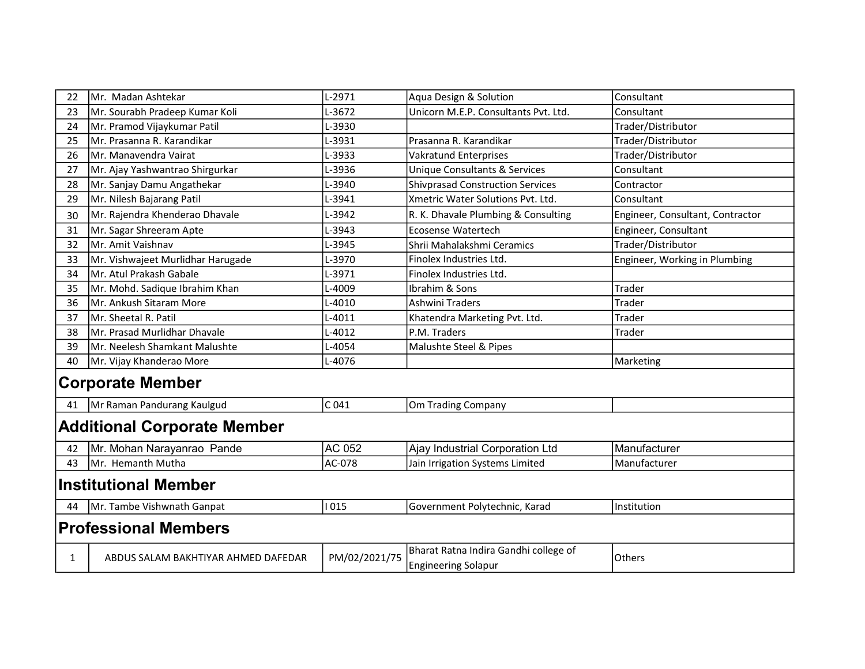| 22                                 | Mr. Madan Ashtekar                  | L-2971           | Aqua Design & Solution                   | Consultant                       |  |  |  |  |
|------------------------------------|-------------------------------------|------------------|------------------------------------------|----------------------------------|--|--|--|--|
| 23                                 | Mr. Sourabh Pradeep Kumar Koli      | L-3672           | Unicorn M.E.P. Consultants Pvt. Ltd.     | Consultant                       |  |  |  |  |
| 24                                 | Mr. Pramod Vijaykumar Patil         | L-3930           |                                          | Trader/Distributor               |  |  |  |  |
| 25                                 | Mr. Prasanna R. Karandikar          | L-3931           | Prasanna R. Karandikar                   | Trader/Distributor               |  |  |  |  |
| 26                                 | Mr. Manavendra Vairat               | L-3933           | <b>Vakratund Enterprises</b>             | Trader/Distributor               |  |  |  |  |
| 27                                 | Mr. Ajay Yashwantrao Shirgurkar     | L-3936           | <b>Unique Consultants &amp; Services</b> | Consultant                       |  |  |  |  |
| 28                                 | Mr. Sanjay Damu Angathekar          | L-3940           | <b>Shivprasad Construction Services</b>  | Contractor                       |  |  |  |  |
| 29                                 | Mr. Nilesh Bajarang Patil           | L-3941           | Xmetric Water Solutions Pvt. Ltd.        | Consultant                       |  |  |  |  |
| 30                                 | Mr. Rajendra Khenderao Dhavale      | L-3942           | R. K. Dhavale Plumbing & Consulting      | Engineer, Consultant, Contractor |  |  |  |  |
| 31                                 | Mr. Sagar Shreeram Apte             | L-3943           | <b>Ecosense Watertech</b>                | Engineer, Consultant             |  |  |  |  |
| 32                                 | Mr. Amit Vaishnav                   | L-3945           | Shrii Mahalakshmi Ceramics               | Trader/Distributor               |  |  |  |  |
| 33                                 | Mr. Vishwajeet Murlidhar Harugade   | L-3970           | Finolex Industries Ltd.                  | Engineer, Working in Plumbing    |  |  |  |  |
| 34                                 | Mr. Atul Prakash Gabale             | L-3971           | Finolex Industries Ltd.                  |                                  |  |  |  |  |
| 35                                 | Mr. Mohd. Sadique Ibrahim Khan      | L-4009           | Ibrahim & Sons                           | Trader                           |  |  |  |  |
| 36                                 | Mr. Ankush Sitaram More             | L-4010           | Ashwini Traders                          | Trader                           |  |  |  |  |
| 37                                 | Mr. Sheetal R. Patil                | L-4011           | Khatendra Marketing Pvt. Ltd.            | Trader                           |  |  |  |  |
| 38                                 | Mr. Prasad Murlidhar Dhavale        | L-4012           | P.M. Traders                             | Trader                           |  |  |  |  |
| 39                                 | Mr. Neelesh Shamkant Malushte       | L-4054           | Malushte Steel & Pipes                   |                                  |  |  |  |  |
| 40                                 | Mr. Vijay Khanderao More            | L-4076           |                                          | Marketing                        |  |  |  |  |
| <b>Corporate Member</b>            |                                     |                  |                                          |                                  |  |  |  |  |
| 41                                 | Mr Raman Pandurang Kaulgud          | C <sub>041</sub> | Om Trading Company                       |                                  |  |  |  |  |
| <b>Additional Corporate Member</b> |                                     |                  |                                          |                                  |  |  |  |  |
| 42                                 | Mr. Mohan Narayanrao Pande          | AC 052           | Ajay Industrial Corporation Ltd          | Manufacturer                     |  |  |  |  |
| 43                                 | Mr. Hemanth Mutha                   | AC-078           | Jain Irrigation Systems Limited          | Manufacturer                     |  |  |  |  |
| <b>Institutional Member</b>        |                                     |                  |                                          |                                  |  |  |  |  |
| 44                                 | Mr. Tambe Vishwnath Ganpat          | 1015             | Government Polytechnic, Karad            | Institution                      |  |  |  |  |
| <b>Professional Members</b>        |                                     |                  |                                          |                                  |  |  |  |  |
|                                    |                                     |                  | Bharat Ratna Indira Gandhi college of    |                                  |  |  |  |  |
| 1                                  | ABDUS SALAM BAKHTIYAR AHMED DAFEDAR | PM/02/2021/75    | <b>Engineering Solapur</b>               | Others                           |  |  |  |  |